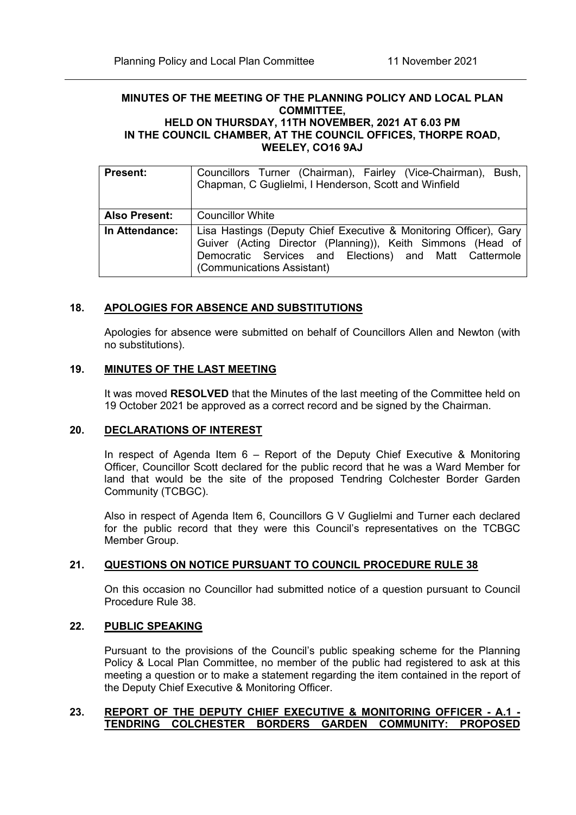#### **MINUTES OF THE MEETING OF THE PLANNING POLICY AND LOCAL PLAN COMMITTEE, HELD ON THURSDAY, 11TH NOVEMBER, 2021 AT 6.03 PM IN THE COUNCIL CHAMBER, AT THE COUNCIL OFFICES, THORPE ROAD, WEELEY, CO16 9AJ**

| <b>Present:</b>      | Councillors Turner (Chairman), Fairley (Vice-Chairman), Bush,<br>Chapman, C Guglielmi, I Henderson, Scott and Winfield                                                                                                   |
|----------------------|--------------------------------------------------------------------------------------------------------------------------------------------------------------------------------------------------------------------------|
| <b>Also Present:</b> | <b>Councillor White</b>                                                                                                                                                                                                  |
| In Attendance:       | Lisa Hastings (Deputy Chief Executive & Monitoring Officer), Gary<br>Guiver (Acting Director (Planning)), Keith Simmons (Head of<br>Democratic Services and Elections) and Matt Cattermole<br>(Communications Assistant) |

# **18. APOLOGIES FOR ABSENCE AND SUBSTITUTIONS**

Apologies for absence were submitted on behalf of Councillors Allen and Newton (with no substitutions).

### **19. MINUTES OF THE LAST MEETING**

It was moved **RESOLVED** that the Minutes of the last meeting of the Committee held on 19 October 2021 be approved as a correct record and be signed by the Chairman.

# **20. DECLARATIONS OF INTEREST**

In respect of Agenda Item 6 – Report of the Deputy Chief Executive & Monitoring Officer, Councillor Scott declared for the public record that he was a Ward Member for land that would be the site of the proposed Tendring Colchester Border Garden Community (TCBGC).

Also in respect of Agenda Item 6, Councillors G V Guglielmi and Turner each declared for the public record that they were this Council's representatives on the TCBGC Member Group.

### **21. QUESTIONS ON NOTICE PURSUANT TO COUNCIL PROCEDURE RULE 38**

On this occasion no Councillor had submitted notice of a question pursuant to Council Procedure Rule 38.

## **22. PUBLIC SPEAKING**

Pursuant to the provisions of the Council's public speaking scheme for the Planning Policy & Local Plan Committee, no member of the public had registered to ask at this meeting a question or to make a statement regarding the item contained in the report of the Deputy Chief Executive & Monitoring Officer.

### **23. REPORT OF THE DEPUTY CHIEF EXECUTIVE & MONITORING OFFICER - A.1 - TENDRING COLCHESTER BORDERS GARDEN COMMUNITY: PROPOSED**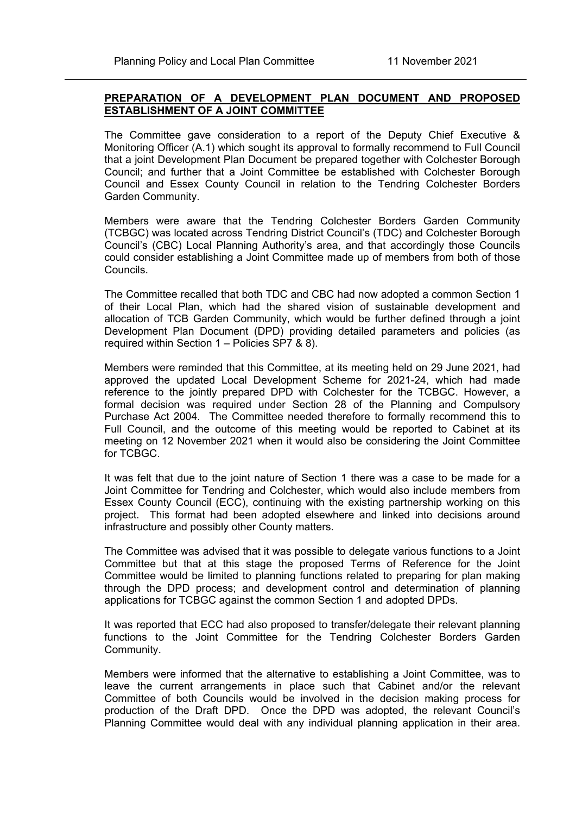# **PREPARATION OF A DEVELOPMENT PLAN DOCUMENT AND PROPOSED ESTABLISHMENT OF A JOINT COMMITTEE**

The Committee gave consideration to a report of the Deputy Chief Executive & Monitoring Officer (A.1) which sought its approval to formally recommend to Full Council that a joint Development Plan Document be prepared together with Colchester Borough Council; and further that a Joint Committee be established with Colchester Borough Council and Essex County Council in relation to the Tendring Colchester Borders Garden Community.

Members were aware that the Tendring Colchester Borders Garden Community (TCBGC) was located across Tendring District Council's (TDC) and Colchester Borough Council's (CBC) Local Planning Authority's area, and that accordingly those Councils could consider establishing a Joint Committee made up of members from both of those Councils.

The Committee recalled that both TDC and CBC had now adopted a common Section 1 of their Local Plan, which had the shared vision of sustainable development and allocation of TCB Garden Community, which would be further defined through a joint Development Plan Document (DPD) providing detailed parameters and policies (as required within Section 1 – Policies SP7 & 8).

Members were reminded that this Committee, at its meeting held on 29 June 2021, had approved the updated Local Development Scheme for 2021-24, which had made reference to the jointly prepared DPD with Colchester for the TCBGC. However, a formal decision was required under Section 28 of the Planning and Compulsory Purchase Act 2004. The Committee needed therefore to formally recommend this to Full Council, and the outcome of this meeting would be reported to Cabinet at its meeting on 12 November 2021 when it would also be considering the Joint Committee for TCBGC.

It was felt that due to the joint nature of Section 1 there was a case to be made for a Joint Committee for Tendring and Colchester, which would also include members from Essex County Council (ECC), continuing with the existing partnership working on this project. This format had been adopted elsewhere and linked into decisions around infrastructure and possibly other County matters.

The Committee was advised that it was possible to delegate various functions to a Joint Committee but that at this stage the proposed Terms of Reference for the Joint Committee would be limited to planning functions related to preparing for plan making through the DPD process; and development control and determination of planning applications for TCBGC against the common Section 1 and adopted DPDs.

It was reported that ECC had also proposed to transfer/delegate their relevant planning functions to the Joint Committee for the Tendring Colchester Borders Garden Community.

Members were informed that the alternative to establishing a Joint Committee, was to leave the current arrangements in place such that Cabinet and/or the relevant Committee of both Councils would be involved in the decision making process for production of the Draft DPD. Once the DPD was adopted, the relevant Council's Planning Committee would deal with any individual planning application in their area.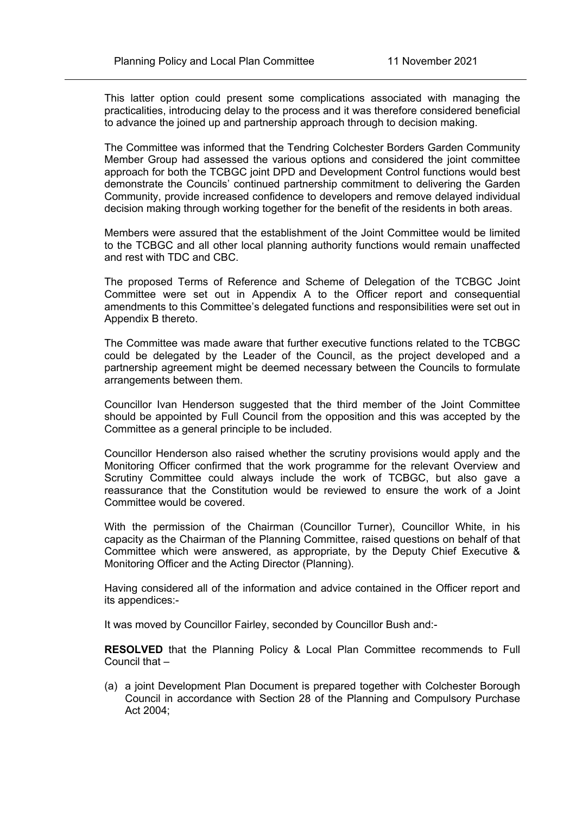This latter option could present some complications associated with managing the practicalities, introducing delay to the process and it was therefore considered beneficial to advance the joined up and partnership approach through to decision making.

The Committee was informed that the Tendring Colchester Borders Garden Community Member Group had assessed the various options and considered the joint committee approach for both the TCBGC joint DPD and Development Control functions would best demonstrate the Councils' continued partnership commitment to delivering the Garden Community, provide increased confidence to developers and remove delayed individual decision making through working together for the benefit of the residents in both areas.

Members were assured that the establishment of the Joint Committee would be limited to the TCBGC and all other local planning authority functions would remain unaffected and rest with TDC and CBC.

The proposed Terms of Reference and Scheme of Delegation of the TCBGC Joint Committee were set out in Appendix A to the Officer report and consequential amendments to this Committee's delegated functions and responsibilities were set out in Appendix B thereto.

The Committee was made aware that further executive functions related to the TCBGC could be delegated by the Leader of the Council, as the project developed and a partnership agreement might be deemed necessary between the Councils to formulate arrangements between them.

Councillor Ivan Henderson suggested that the third member of the Joint Committee should be appointed by Full Council from the opposition and this was accepted by the Committee as a general principle to be included.

Councillor Henderson also raised whether the scrutiny provisions would apply and the Monitoring Officer confirmed that the work programme for the relevant Overview and Scrutiny Committee could always include the work of TCBGC, but also gave a reassurance that the Constitution would be reviewed to ensure the work of a Joint Committee would be covered.

With the permission of the Chairman (Councillor Turner), Councillor White, in his capacity as the Chairman of the Planning Committee, raised questions on behalf of that Committee which were answered, as appropriate, by the Deputy Chief Executive & Monitoring Officer and the Acting Director (Planning).

Having considered all of the information and advice contained in the Officer report and its appendices:-

It was moved by Councillor Fairley, seconded by Councillor Bush and:-

**RESOLVED** that the Planning Policy & Local Plan Committee recommends to Full Council that –

(a) a joint Development Plan Document is prepared together with Colchester Borough Council in accordance with Section 28 of the Planning and Compulsory Purchase Act 2004;